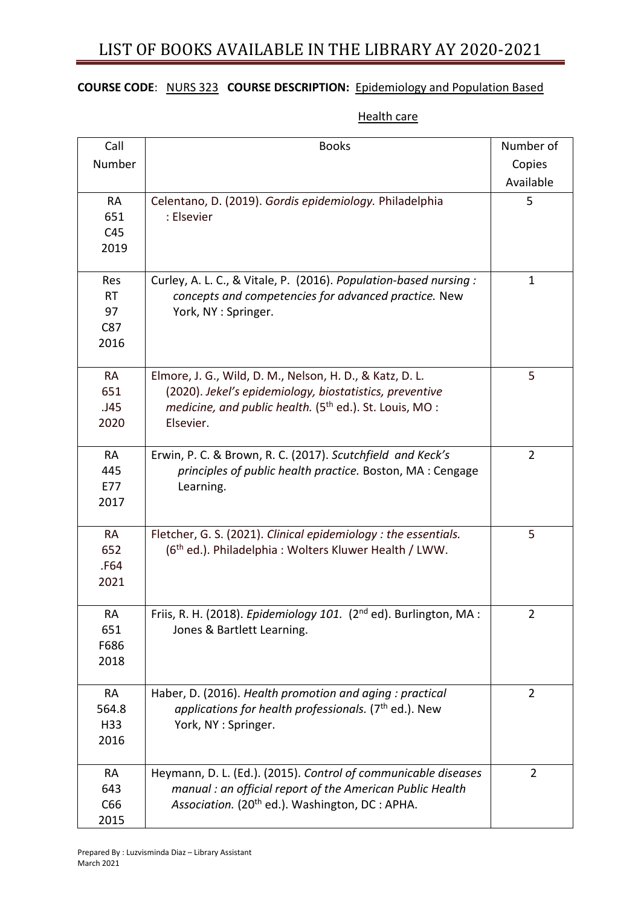# LIST OF BOOKS AVAILABLE IN THE LIBRARY AY 2020-2021

### **COURSE CODE**: NURS 323 **COURSE DESCRIPTION:** Epidemiology and Population Based

### **Health care**

| Call      | <b>Books</b>                                                                 | Number of      |
|-----------|------------------------------------------------------------------------------|----------------|
| Number    |                                                                              | Copies         |
|           |                                                                              | Available      |
| <b>RA</b> | Celentano, D. (2019). Gordis epidemiology. Philadelphia                      | 5              |
| 651       | : Elsevier                                                                   |                |
| C45       |                                                                              |                |
| 2019      |                                                                              |                |
|           |                                                                              |                |
| Res       | Curley, A. L. C., & Vitale, P. (2016). Population-based nursing :            | $\mathbf{1}$   |
| <b>RT</b> | concepts and competencies for advanced practice. New                         |                |
| 97        | York, NY: Springer.                                                          |                |
| C87       |                                                                              |                |
| 2016      |                                                                              |                |
| <b>RA</b> | Elmore, J. G., Wild, D. M., Nelson, H. D., & Katz, D. L.                     | 5              |
| 651       | (2020). Jekel's epidemiology, biostatistics, preventive                      |                |
| .J45      | medicine, and public health. (5 <sup>th</sup> ed.). St. Louis, MO:           |                |
| 2020      | Elsevier.                                                                    |                |
|           |                                                                              |                |
| <b>RA</b> | Erwin, P. C. & Brown, R. C. (2017). Scutchfield and Keck's                   | $\overline{2}$ |
| 445       | principles of public health practice. Boston, MA: Cengage                    |                |
| E77       | Learning.                                                                    |                |
| 2017      |                                                                              |                |
| <b>RA</b> | Fletcher, G. S. (2021). Clinical epidemiology : the essentials.              | 5              |
| 652       | (6 <sup>th</sup> ed.). Philadelphia: Wolters Kluwer Health / LWW.            |                |
| .F64      |                                                                              |                |
| 2021      |                                                                              |                |
|           |                                                                              |                |
| RA        | Friis, R. H. (2018). Epidemiology 101. (2 <sup>nd</sup> ed). Burlington, MA: | 2              |
| 651       | Jones & Bartlett Learning.                                                   |                |
| F686      |                                                                              |                |
| 2018      |                                                                              |                |
| <b>RA</b> | Haber, D. (2016). Health promotion and aging : practical                     | $\overline{2}$ |
| 564.8     | applications for health professionals. ( $7th$ ed.). New                     |                |
| H33       | York, NY: Springer.                                                          |                |
| 2016      |                                                                              |                |
|           |                                                                              |                |
| <b>RA</b> | Heymann, D. L. (Ed.). (2015). Control of communicable diseases               | $\overline{2}$ |
| 643       | manual : an official report of the American Public Health                    |                |
| C66       | Association. (20 <sup>th</sup> ed.). Washington, DC : APHA.                  |                |
| 2015      |                                                                              |                |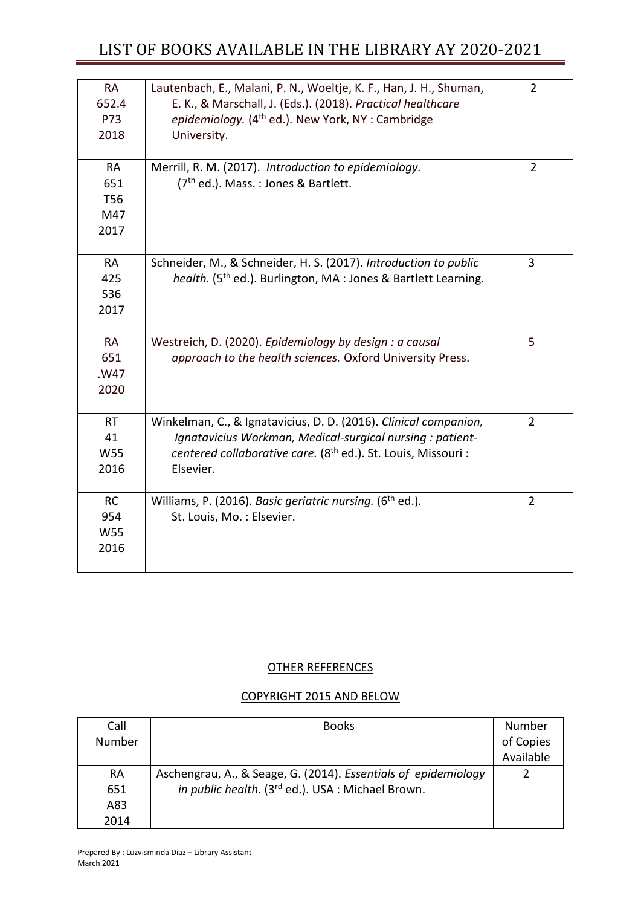## LIST OF BOOKS AVAILABLE IN THE LIBRARY AY 2020-2021

| <b>RA</b><br>652.4<br>P73<br>2018             | Lautenbach, E., Malani, P. N., Woeltje, K. F., Han, J. H., Shuman,<br>E. K., & Marschall, J. (Eds.). (2018). Practical healthcare<br>epidemiology. (4 <sup>th</sup> ed.). New York, NY: Cambridge<br>University.        | $\overline{2}$ |
|-----------------------------------------------|-------------------------------------------------------------------------------------------------------------------------------------------------------------------------------------------------------------------------|----------------|
| <b>RA</b><br>651<br><b>T56</b><br>M47<br>2017 | Merrill, R. M. (2017). Introduction to epidemiology.<br>(7 <sup>th</sup> ed.). Mass.: Jones & Bartlett.                                                                                                                 | $\overline{2}$ |
| <b>RA</b><br>425<br>S36<br>2017               | Schneider, M., & Schneider, H. S. (2017). Introduction to public<br>health. (5 <sup>th</sup> ed.). Burlington, MA : Jones & Bartlett Learning.                                                                          | 3              |
| <b>RA</b><br>651<br>.W47<br>2020              | Westreich, D. (2020). Epidemiology by design : a causal<br>approach to the health sciences. Oxford University Press.                                                                                                    | 5              |
| <b>RT</b><br>41<br>W55<br>2016                | Winkelman, C., & Ignatavicius, D. D. (2016). Clinical companion,<br>Ignatavicius Workman, Medical-surgical nursing : patient-<br>centered collaborative care. (8 <sup>th</sup> ed.). St. Louis, Missouri :<br>Elsevier. | $\overline{2}$ |
| <b>RC</b><br>954<br>W55<br>2016               | Williams, P. (2016). Basic geriatric nursing. (6 <sup>th</sup> ed.).<br>St. Louis, Mo.: Elsevier.                                                                                                                       | $\overline{2}$ |

#### OTHER REFERENCES

## COPYRIGHT 2015 AND BELOW

| Call      | <b>Books</b>                                                   | Number    |
|-----------|----------------------------------------------------------------|-----------|
| Number    |                                                                | of Copies |
|           |                                                                | Available |
| <b>RA</b> | Aschengrau, A., & Seage, G. (2014). Essentials of epidemiology |           |
| 651       | in public health. (3rd ed.). USA : Michael Brown.              |           |
| A83       |                                                                |           |
| 2014      |                                                                |           |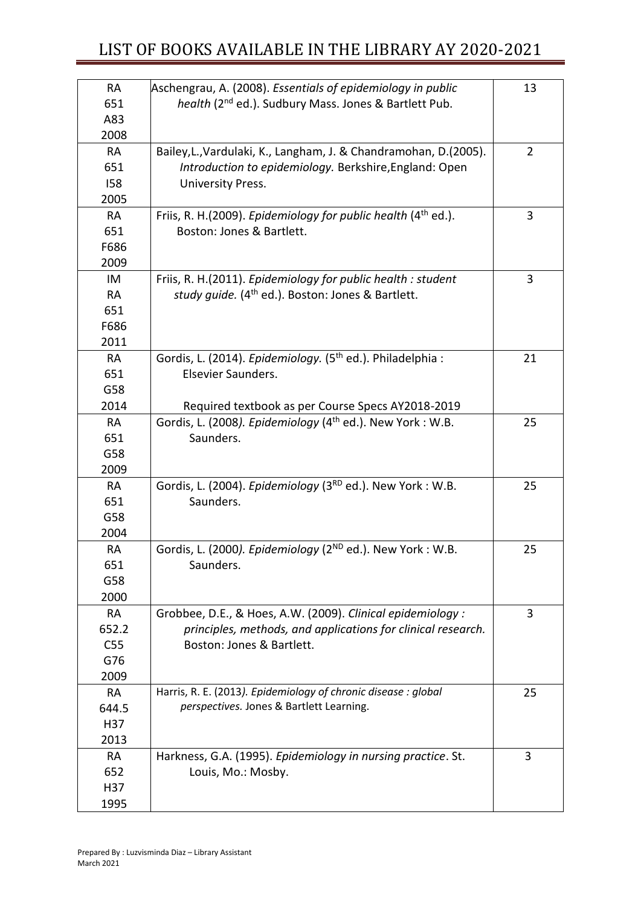| <b>RA</b>  | Aschengrau, A. (2008). Essentials of epidemiology in public            | 13             |
|------------|------------------------------------------------------------------------|----------------|
| 651        | health (2 <sup>nd</sup> ed.). Sudbury Mass. Jones & Bartlett Pub.      |                |
| A83        |                                                                        |                |
| 2008       |                                                                        |                |
| <b>RA</b>  | Bailey, L., Vardulaki, K., Langham, J. & Chandramohan, D. (2005).      | $\overline{2}$ |
| 651        | Introduction to epidemiology. Berkshire, England: Open                 |                |
| <b>I58</b> | University Press.                                                      |                |
| 2005       |                                                                        |                |
| <b>RA</b>  | Friis, R. H. (2009). Epidemiology for public health $(4th$ ed.).       | 3              |
| 651        | Boston: Jones & Bartlett.                                              |                |
| F686       |                                                                        |                |
| 2009       |                                                                        |                |
| IM         | Friis, R. H.(2011). Epidemiology for public health : student           | 3              |
| <b>RA</b>  | study quide. (4 <sup>th</sup> ed.). Boston: Jones & Bartlett.          |                |
| 651        |                                                                        |                |
| F686       |                                                                        |                |
| 2011       |                                                                        |                |
| RA         | Gordis, L. (2014). Epidemiology. (5 <sup>th</sup> ed.). Philadelphia : | 21             |
| 651        | Elsevier Saunders.                                                     |                |
| G58        |                                                                        |                |
| 2014       | Required textbook as per Course Specs AY2018-2019                      |                |
| RA         | Gordis, L. (2008). Epidemiology (4 <sup>th</sup> ed.). New York: W.B.  | 25             |
| 651        | Saunders.                                                              |                |
| G58        |                                                                        |                |
| 2009       |                                                                        |                |
| RA         | Gordis, L. (2004). Epidemiology (3 <sup>RD</sup> ed.). New York: W.B.  | 25             |
| 651        | Saunders.                                                              |                |
| G58        |                                                                        |                |
| 2004       |                                                                        |                |
| <b>RA</b>  | Gordis, L. (2000). Epidemiology (2 <sup>ND</sup> ed.). New York: W.B.  | 25             |
| 651        | Saunders.                                                              |                |
| G58        |                                                                        |                |
| 2000       |                                                                        |                |
| <b>RA</b>  | Grobbee, D.E., & Hoes, A.W. (2009). Clinical epidemiology :            | 3              |
| 652.2      | principles, methods, and applications for clinical research.           |                |
| C55        | Boston: Jones & Bartlett.                                              |                |
| G76        |                                                                        |                |
| 2009       |                                                                        |                |
| RA         | Harris, R. E. (2013). Epidemiology of chronic disease : global         | 25             |
| 644.5      | perspectives. Jones & Bartlett Learning.                               |                |
| H37        |                                                                        |                |
| 2013       |                                                                        |                |
| <b>RA</b>  | Harkness, G.A. (1995). Epidemiology in nursing practice. St.           | 3              |
| 652        | Louis, Mo.: Mosby.                                                     |                |
| H37        |                                                                        |                |
| 1995       |                                                                        |                |
|            |                                                                        |                |